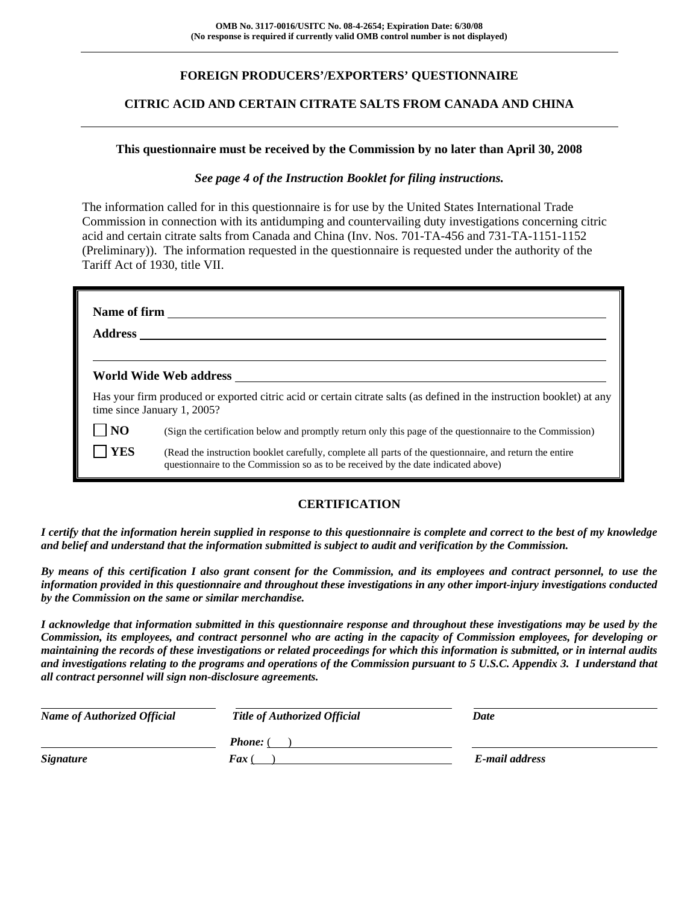### **FOREIGN PRODUCERS'/EXPORTERS' QUESTIONNAIRE**

### **CITRIC ACID AND CERTAIN CITRATE SALTS FROM CANADA AND CHINA**

### **This questionnaire must be received by the Commission by no later than April 30, 2008**

### *See page 4 of the Instruction Booklet for filing instructions.*

The information called for in this questionnaire is for use by the United States International Trade Commission in connection with its antidumping and countervailing duty investigations concerning citric acid and certain citrate salts from Canada and China (Inv. Nos. 701-TA-456 and 731-TA-1151-1152 (Preliminary)). The information requested in the questionnaire is requested under the authority of the Tariff Act of 1930, title VII.

|                     | World Wide Web address                                                                                                                                                                       |
|---------------------|----------------------------------------------------------------------------------------------------------------------------------------------------------------------------------------------|
|                     | Has your firm produced or exported citric acid or certain citrate salts (as defined in the instruction booklet) at any<br>time since January 1, 2005?                                        |
| $\overline{\bf NO}$ | (Sign the certification below and promptly return only this page of the questionnaire to the Commission)                                                                                     |
| <b>YES</b>          | (Read the instruction booklet carefully, complete all parts of the questionnaire, and return the entire<br>questionnaire to the Commission so as to be received by the date indicated above) |

### **CERTIFICATION**

*I certify that the information herein supplied in response to this questionnaire is complete and correct to the best of my knowledge and belief and understand that the information submitted is subject to audit and verification by the Commission.* 

*By means of this certification I also grant consent for the Commission, and its employees and contract personnel, to use the information provided in this questionnaire and throughout these investigations in any other import-injury investigations conducted by the Commission on the same or similar merchandise.* 

*I acknowledge that information submitted in this questionnaire response and throughout these investigations may be used by the Commission, its employees, and contract personnel who are acting in the capacity of Commission employees, for developing or maintaining the records of these investigations or related proceedings for which this information is submitted, or in internal audits and investigations relating to the programs and operations of the Commission pursuant to 5 U.S.C. Appendix 3. I understand that all contract personnel will sign non-disclosure agreements.* 

| <b>Name of Authorized Official</b> | Title of Authorized Official | Date           |
|------------------------------------|------------------------------|----------------|
|                                    | <b>Phone:</b> (              |                |
| <b>Signature</b>                   | <b>Fax</b> (                 | E-mail address |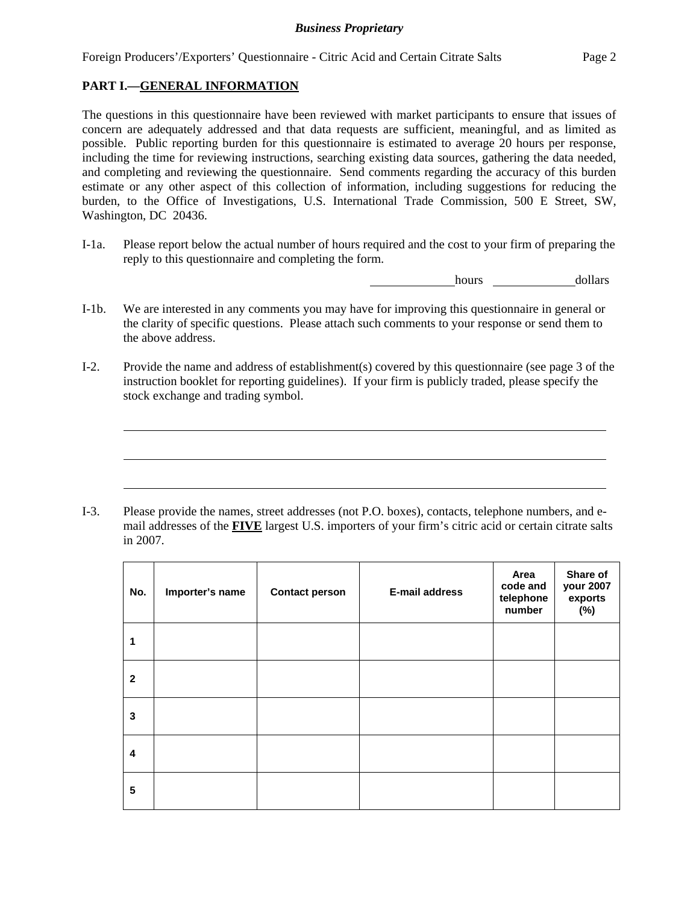Foreign Producers'/Exporters' Questionnaire - Citric Acid and Certain Citrate Salts Page 2

### **PART I.—GENERAL INFORMATION**

 $\overline{a}$ 

 $\overline{a}$ 

 $\overline{a}$ 

The questions in this questionnaire have been reviewed with market participants to ensure that issues of concern are adequately addressed and that data requests are sufficient, meaningful, and as limited as possible. Public reporting burden for this questionnaire is estimated to average 20 hours per response, including the time for reviewing instructions, searching existing data sources, gathering the data needed, and completing and reviewing the questionnaire. Send comments regarding the accuracy of this burden estimate or any other aspect of this collection of information, including suggestions for reducing the burden, to the Office of Investigations, U.S. International Trade Commission, 500 E Street, SW, Washington, DC 20436.

I-1a. Please report below the actual number of hours required and the cost to your firm of preparing the reply to this questionnaire and completing the form.

**hours** <u>dollars</u>

- I-1b. We are interested in any comments you may have for improving this questionnaire in general or the clarity of specific questions. Please attach such comments to your response or send them to the above address.
- I-2. Provide the name and address of establishment(s) covered by this questionnaire (see page 3 of the instruction booklet for reporting guidelines). If your firm is publicly traded, please specify the stock exchange and trading symbol.

I-3. Please provide the names, street addresses (not P.O. boxes), contacts, telephone numbers, and email addresses of the **FIVE** largest U.S. importers of your firm's citric acid or certain citrate salts in 2007.

| No.          | Importer's name | <b>Contact person</b> | <b>E-mail address</b> | Area<br>code and<br>telephone<br>number | Share of<br>your 2007<br>exports<br>(%) |
|--------------|-----------------|-----------------------|-----------------------|-----------------------------------------|-----------------------------------------|
| 1            |                 |                       |                       |                                         |                                         |
| $\mathbf{2}$ |                 |                       |                       |                                         |                                         |
| 3            |                 |                       |                       |                                         |                                         |
| 4            |                 |                       |                       |                                         |                                         |
| 5            |                 |                       |                       |                                         |                                         |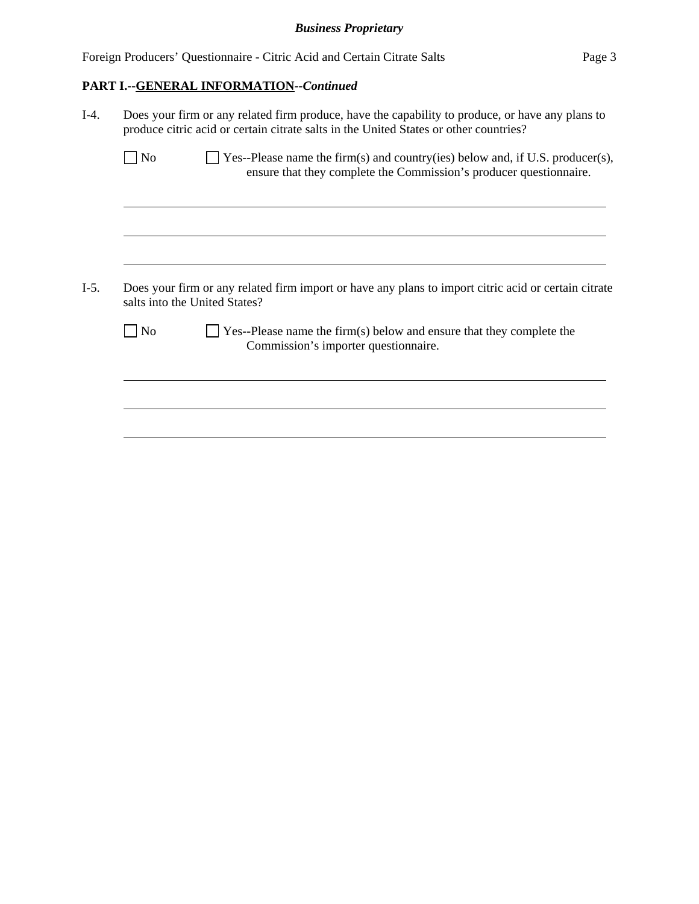|  | Foreign Producers' Questionnaire - Citric Acid and Certain Citrate Salts | Page 3 |
|--|--------------------------------------------------------------------------|--------|
|--|--------------------------------------------------------------------------|--------|

# **PART I.--GENERAL INFORMATION***--Continued*

| $I-4.$ | Does your firm or any related firm produce, have the capability to produce, or have any plans to<br>produce citric acid or certain citrate salts in the United States or other countries? |                                                                                                                                                     |  |  |  |  |  |  |
|--------|-------------------------------------------------------------------------------------------------------------------------------------------------------------------------------------------|-----------------------------------------------------------------------------------------------------------------------------------------------------|--|--|--|--|--|--|
|        | N <sub>o</sub>                                                                                                                                                                            | Yes--Please name the firm(s) and country(ies) below and, if U.S. producer(s),<br>ensure that they complete the Commission's producer questionnaire. |  |  |  |  |  |  |
|        |                                                                                                                                                                                           |                                                                                                                                                     |  |  |  |  |  |  |
| $I-5.$ |                                                                                                                                                                                           | Does your firm or any related firm import or have any plans to import citric acid or certain citrate<br>salts into the United States?               |  |  |  |  |  |  |
|        | $ $ No                                                                                                                                                                                    | $\Box$ Yes--Please name the firm(s) below and ensure that they complete the<br>Commission's importer questionnaire.                                 |  |  |  |  |  |  |
|        |                                                                                                                                                                                           |                                                                                                                                                     |  |  |  |  |  |  |
|        |                                                                                                                                                                                           |                                                                                                                                                     |  |  |  |  |  |  |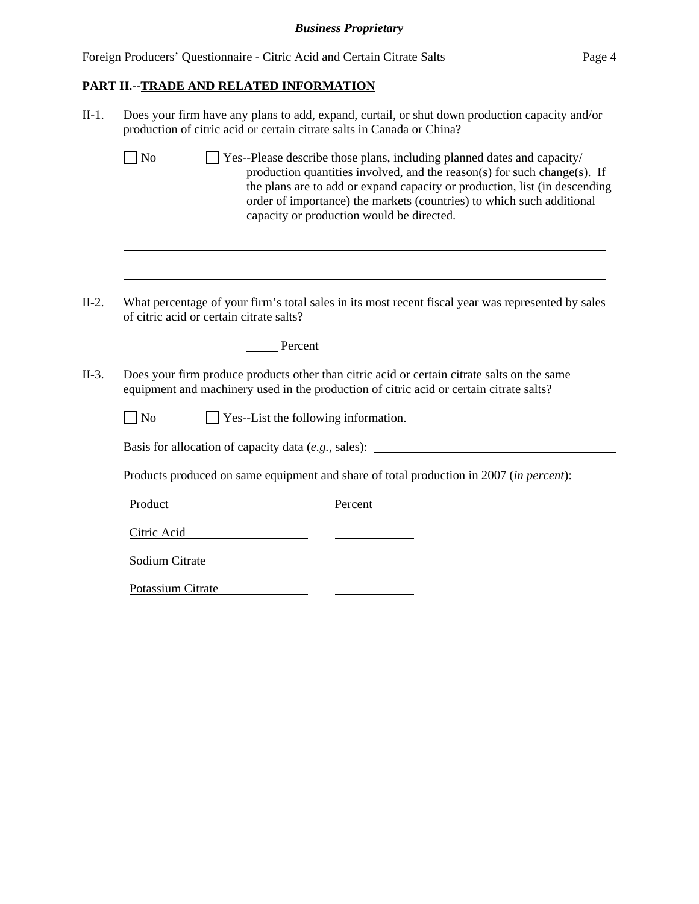Foreign Producers' Questionnaire - Citric Acid and Certain Citrate Salts Page 4

# **PART II.--TRADE AND RELATED INFORMATION**

l

| $II-1.$ | Does your firm have any plans to add, expand, curtail, or shut down production capacity and/or<br>production of citric acid or certain citrate salts in Canada or China?                                                                                                                                                                                                     |  |  |  |  |  |  |  |  |  |
|---------|------------------------------------------------------------------------------------------------------------------------------------------------------------------------------------------------------------------------------------------------------------------------------------------------------------------------------------------------------------------------------|--|--|--|--|--|--|--|--|--|
|         | $\Box$ No<br>$\perp$ Yes--Please describe those plans, including planned dates and capacity/<br>production quantities involved, and the reason(s) for such change(s). If<br>the plans are to add or expand capacity or production, list (in descending<br>order of importance) the markets (countries) to which such additional<br>capacity or production would be directed. |  |  |  |  |  |  |  |  |  |
|         |                                                                                                                                                                                                                                                                                                                                                                              |  |  |  |  |  |  |  |  |  |
| $II-2.$ | What percentage of your firm's total sales in its most recent fiscal year was represented by sales<br>of citric acid or certain citrate salts?                                                                                                                                                                                                                               |  |  |  |  |  |  |  |  |  |
|         | Percent                                                                                                                                                                                                                                                                                                                                                                      |  |  |  |  |  |  |  |  |  |
| $II-3.$ | Does your firm produce products other than citric acid or certain citrate salts on the same<br>equipment and machinery used in the production of citric acid or certain citrate salts?                                                                                                                                                                                       |  |  |  |  |  |  |  |  |  |
|         | $\neg$ No<br>Yes--List the following information.                                                                                                                                                                                                                                                                                                                            |  |  |  |  |  |  |  |  |  |
|         | Basis for allocation of capacity data (e.g., sales): ___________________________                                                                                                                                                                                                                                                                                             |  |  |  |  |  |  |  |  |  |
|         | Products produced on same equipment and share of total production in 2007 (in percent):                                                                                                                                                                                                                                                                                      |  |  |  |  |  |  |  |  |  |
|         | Product<br>Percent                                                                                                                                                                                                                                                                                                                                                           |  |  |  |  |  |  |  |  |  |
|         | Citric Acid                                                                                                                                                                                                                                                                                                                                                                  |  |  |  |  |  |  |  |  |  |
|         | Sodium Citrate                                                                                                                                                                                                                                                                                                                                                               |  |  |  |  |  |  |  |  |  |
|         | Potassium Citrate                                                                                                                                                                                                                                                                                                                                                            |  |  |  |  |  |  |  |  |  |
|         |                                                                                                                                                                                                                                                                                                                                                                              |  |  |  |  |  |  |  |  |  |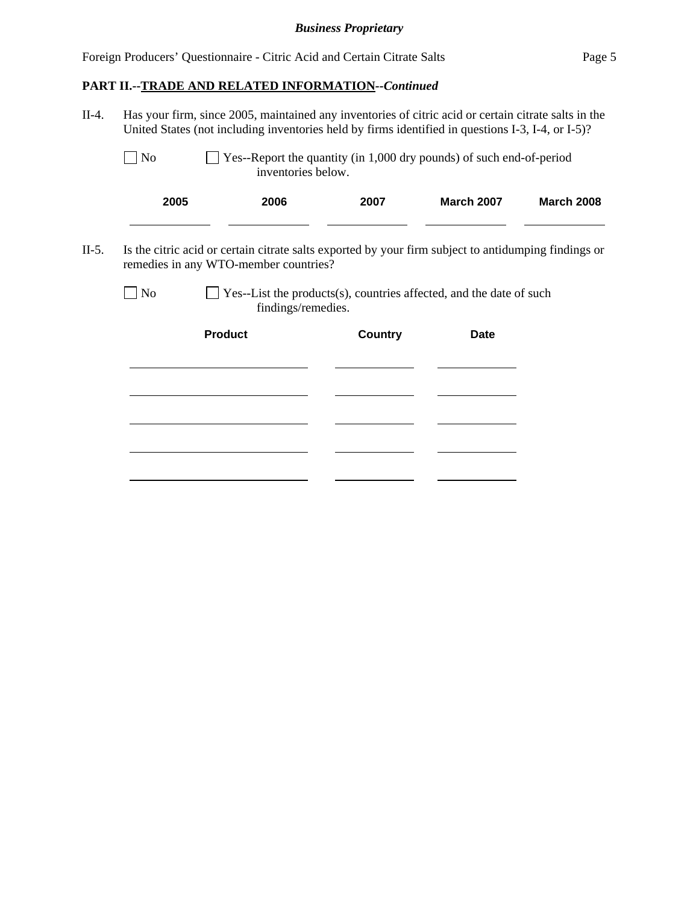# **PART II.--TRADE AND RELATED INFORMATION***--Continued*

l

| $II-4.$ | Has your firm, since 2005, maintained any inventories of citric acid or certain citrate salts in the<br>United States (not including inventories held by firms identified in questions I-3, I-4, or I-5)? |                                                                                           |                                                                      |                   |                   |  |  |  |  |  |
|---------|-----------------------------------------------------------------------------------------------------------------------------------------------------------------------------------------------------------|-------------------------------------------------------------------------------------------|----------------------------------------------------------------------|-------------------|-------------------|--|--|--|--|--|
|         | $\Box$ No                                                                                                                                                                                                 | inventories below.                                                                        | Yes--Report the quantity (in 1,000 dry pounds) of such end-of-period |                   |                   |  |  |  |  |  |
|         | 2005                                                                                                                                                                                                      | 2006                                                                                      | 2007                                                                 | <b>March 2007</b> | <b>March 2008</b> |  |  |  |  |  |
| $II-5.$ | Is the citric acid or certain citrate salts exported by your firm subject to antidumping findings or<br>remedies in any WTO-member countries?                                                             |                                                                                           |                                                                      |                   |                   |  |  |  |  |  |
|         | $\log$                                                                                                                                                                                                    | Yes--List the products(s), countries affected, and the date of such<br>findings/remedies. |                                                                      |                   |                   |  |  |  |  |  |
|         |                                                                                                                                                                                                           | <b>Product</b>                                                                            | <b>Country</b>                                                       | <b>Date</b>       |                   |  |  |  |  |  |
|         |                                                                                                                                                                                                           |                                                                                           |                                                                      |                   |                   |  |  |  |  |  |
|         |                                                                                                                                                                                                           |                                                                                           |                                                                      |                   |                   |  |  |  |  |  |
|         |                                                                                                                                                                                                           |                                                                                           |                                                                      |                   |                   |  |  |  |  |  |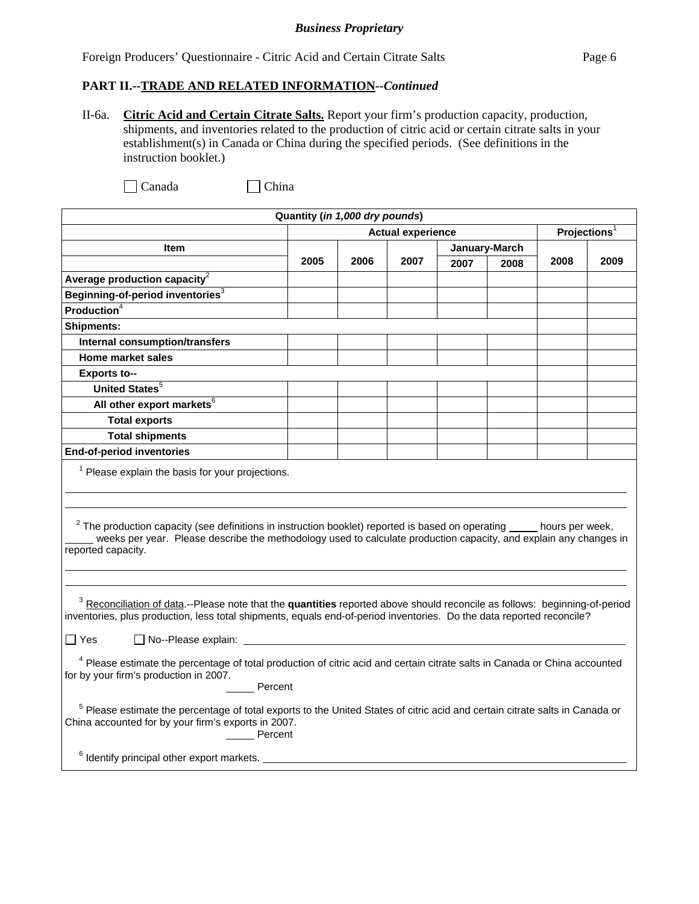Foreign Producers' Questionnaire - Citric Acid and Certain Citrate Salts Page 6

### **PART II.--TRADE AND RELATED INFORMATION***--Continued*

II-6a. **Citric Acid and Certain Citrate Salts.** Report your firm's production capacity, production, shipments, and inventories related to the production of citric acid or certain citrate salts in your establishment(s) in Canada or China during the specified periods. (See definitions in the instruction booklet.)

| Quantity (in 1,000 dry pounds)                                                                                                                                                                                                                                                                                                                                                                                                                                  |                                                                                                                                                                                                                                                                                                       |      |                          |      |               |                          |      |  |  |
|-----------------------------------------------------------------------------------------------------------------------------------------------------------------------------------------------------------------------------------------------------------------------------------------------------------------------------------------------------------------------------------------------------------------------------------------------------------------|-------------------------------------------------------------------------------------------------------------------------------------------------------------------------------------------------------------------------------------------------------------------------------------------------------|------|--------------------------|------|---------------|--------------------------|------|--|--|
|                                                                                                                                                                                                                                                                                                                                                                                                                                                                 |                                                                                                                                                                                                                                                                                                       |      | <b>Actual experience</b> |      |               | Projections <sup>1</sup> |      |  |  |
| <b>Item</b>                                                                                                                                                                                                                                                                                                                                                                                                                                                     |                                                                                                                                                                                                                                                                                                       |      |                          |      | January-March |                          |      |  |  |
|                                                                                                                                                                                                                                                                                                                                                                                                                                                                 | 2005                                                                                                                                                                                                                                                                                                  | 2006 | 2007                     | 2007 | 2008          | 2008                     | 2009 |  |  |
| Average production capacity $2$                                                                                                                                                                                                                                                                                                                                                                                                                                 |                                                                                                                                                                                                                                                                                                       |      |                          |      |               |                          |      |  |  |
| Beginning-of-period inventories <sup>3</sup>                                                                                                                                                                                                                                                                                                                                                                                                                    |                                                                                                                                                                                                                                                                                                       |      |                          |      |               |                          |      |  |  |
| <b>Production</b> <sup><math>4</math></sup>                                                                                                                                                                                                                                                                                                                                                                                                                     |                                                                                                                                                                                                                                                                                                       |      |                          |      |               |                          |      |  |  |
| <b>Shipments:</b>                                                                                                                                                                                                                                                                                                                                                                                                                                               |                                                                                                                                                                                                                                                                                                       |      |                          |      |               |                          |      |  |  |
| Internal consumption/transfers                                                                                                                                                                                                                                                                                                                                                                                                                                  |                                                                                                                                                                                                                                                                                                       |      |                          |      |               |                          |      |  |  |
| <b>Home market sales</b>                                                                                                                                                                                                                                                                                                                                                                                                                                        |                                                                                                                                                                                                                                                                                                       |      |                          |      |               |                          |      |  |  |
| <b>Exports to--</b>                                                                                                                                                                                                                                                                                                                                                                                                                                             |                                                                                                                                                                                                                                                                                                       |      |                          |      |               |                          |      |  |  |
| United States <sup>5</sup>                                                                                                                                                                                                                                                                                                                                                                                                                                      |                                                                                                                                                                                                                                                                                                       |      |                          |      |               |                          |      |  |  |
| All other export markets <sup>6</sup>                                                                                                                                                                                                                                                                                                                                                                                                                           |                                                                                                                                                                                                                                                                                                       |      |                          |      |               |                          |      |  |  |
| <b>Total exports</b>                                                                                                                                                                                                                                                                                                                                                                                                                                            |                                                                                                                                                                                                                                                                                                       |      |                          |      |               |                          |      |  |  |
| <b>Total shipments</b>                                                                                                                                                                                                                                                                                                                                                                                                                                          |                                                                                                                                                                                                                                                                                                       |      |                          |      |               |                          |      |  |  |
| <b>End-of-period inventories</b>                                                                                                                                                                                                                                                                                                                                                                                                                                |                                                                                                                                                                                                                                                                                                       |      |                          |      |               |                          |      |  |  |
| reported capacity.                                                                                                                                                                                                                                                                                                                                                                                                                                              | $1$ Please explain the basis for your projections.<br>$2$ The production capacity (see definitions in instruction booklet) reported is based on operating $\_\_$ hours per week,<br>weeks per year. Please describe the methodology used to calculate production capacity, and explain any changes in |      |                          |      |               |                          |      |  |  |
| <sup>3</sup> Reconciliation of data.--Please note that the quantities reported above should reconcile as follows: beginning-of-period<br>inventories, plus production, less total shipments, equals end-of-period inventories. Do the data reported reconcile?<br>$\Box$ Yes<br><sup>4</sup> Please estimate the percentage of total production of citric acid and certain citrate salts in Canada or China accounted<br>for by your firm's production in 2007. |                                                                                                                                                                                                                                                                                                       |      |                          |      |               |                          |      |  |  |
| Percent<br><sup>5</sup> Please estimate the percentage of total exports to the United States of citric acid and certain citrate salts in Canada or<br>China accounted for by your firm's exports in 2007.<br>Percent<br>$6$ Identify principal other export markets. $\_\_$                                                                                                                                                                                     |                                                                                                                                                                                                                                                                                                       |      |                          |      |               |                          |      |  |  |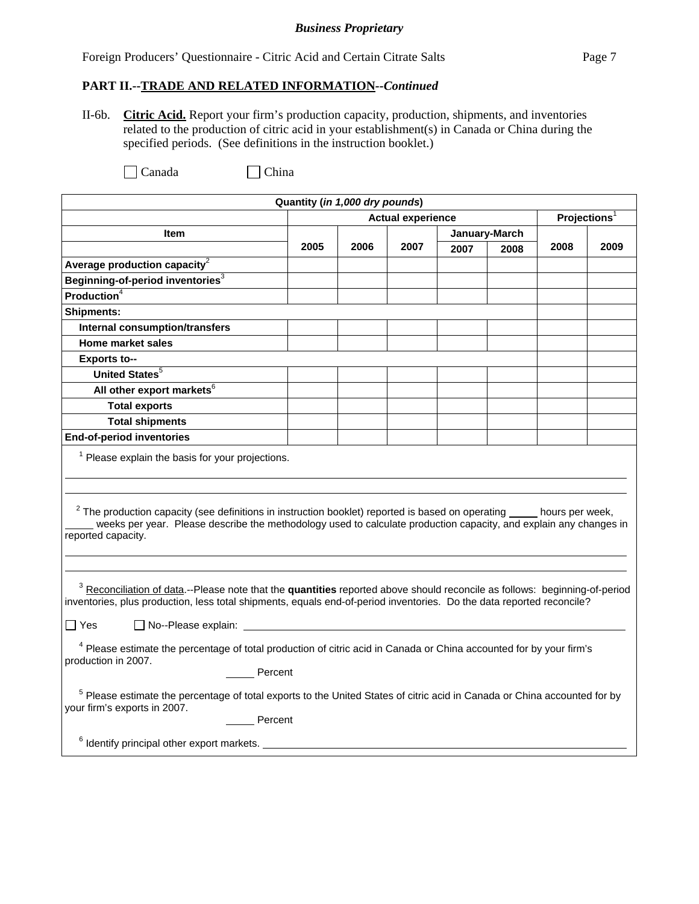Foreign Producers' Questionnaire - Citric Acid and Certain Citrate Salts Page 7

### **PART II.--TRADE AND RELATED INFORMATION***--Continued*

II-6b. **Citric Acid.** Report your firm's production capacity, production, shipments, and inventories related to the production of citric acid in your establishment(s) in Canada or China during the specified periods. (See definitions in the instruction booklet.)

| Quantity (in 1,000 dry pounds)                                                                                                                                                                                                                                        |                                                                                                                                                 |      |                          |      |               |      |                          |  |
|-----------------------------------------------------------------------------------------------------------------------------------------------------------------------------------------------------------------------------------------------------------------------|-------------------------------------------------------------------------------------------------------------------------------------------------|------|--------------------------|------|---------------|------|--------------------------|--|
|                                                                                                                                                                                                                                                                       |                                                                                                                                                 |      | <b>Actual experience</b> |      |               |      | Projections <sup>1</sup> |  |
| Item                                                                                                                                                                                                                                                                  |                                                                                                                                                 |      |                          |      | January-March |      |                          |  |
|                                                                                                                                                                                                                                                                       | 2005                                                                                                                                            | 2006 | 2007                     | 2007 | 2008          | 2008 | 2009                     |  |
| Average production capacity <sup>2</sup>                                                                                                                                                                                                                              |                                                                                                                                                 |      |                          |      |               |      |                          |  |
| Beginning-of-period inventories <sup>3</sup>                                                                                                                                                                                                                          |                                                                                                                                                 |      |                          |      |               |      |                          |  |
| Production $4$                                                                                                                                                                                                                                                        |                                                                                                                                                 |      |                          |      |               |      |                          |  |
| <b>Shipments:</b>                                                                                                                                                                                                                                                     |                                                                                                                                                 |      |                          |      |               |      |                          |  |
| <b>Internal consumption/transfers</b>                                                                                                                                                                                                                                 |                                                                                                                                                 |      |                          |      |               |      |                          |  |
| <b>Home market sales</b>                                                                                                                                                                                                                                              |                                                                                                                                                 |      |                          |      |               |      |                          |  |
| <b>Exports to--</b>                                                                                                                                                                                                                                                   |                                                                                                                                                 |      |                          |      |               |      |                          |  |
| United States <sup>5</sup>                                                                                                                                                                                                                                            |                                                                                                                                                 |      |                          |      |               |      |                          |  |
| All other export markets <sup>6</sup>                                                                                                                                                                                                                                 |                                                                                                                                                 |      |                          |      |               |      |                          |  |
| <b>Total exports</b>                                                                                                                                                                                                                                                  |                                                                                                                                                 |      |                          |      |               |      |                          |  |
| <b>Total shipments</b>                                                                                                                                                                                                                                                |                                                                                                                                                 |      |                          |      |               |      |                          |  |
| <b>End-of-period inventories</b>                                                                                                                                                                                                                                      |                                                                                                                                                 |      |                          |      |               |      |                          |  |
| $1$ Please explain the basis for your projections.                                                                                                                                                                                                                    |                                                                                                                                                 |      |                          |      |               |      |                          |  |
| $2$ The production capacity (see definitions in instruction booklet) reported is based on operating $\_\_$ hours per week,<br>weeks per year. Please describe the methodology used to calculate production capacity, and explain any changes in<br>reported capacity. |                                                                                                                                                 |      |                          |      |               |      |                          |  |
| <sup>3</sup> Reconciliation of data.--Please note that the quantities reported above should reconcile as follows: beginning-of-period<br>inventories, plus production, less total shipments, equals end-of-period inventories. Do the data reported reconcile?        |                                                                                                                                                 |      |                          |      |               |      |                          |  |
| ∏ Yes                                                                                                                                                                                                                                                                 |                                                                                                                                                 |      |                          |      |               |      |                          |  |
| <sup>4</sup> Please estimate the percentage of total production of citric acid in Canada or China accounted for by your firm's<br>production in 2007.<br>Percent                                                                                                      |                                                                                                                                                 |      |                          |      |               |      |                          |  |
| your firm's exports in 2007.                                                                                                                                                                                                                                          | <sup>5</sup> Please estimate the percentage of total exports to the United States of citric acid in Canada or China accounted for by<br>Percent |      |                          |      |               |      |                          |  |
| $6$ Identify principal other export markets. $\_$                                                                                                                                                                                                                     |                                                                                                                                                 |      |                          |      |               |      |                          |  |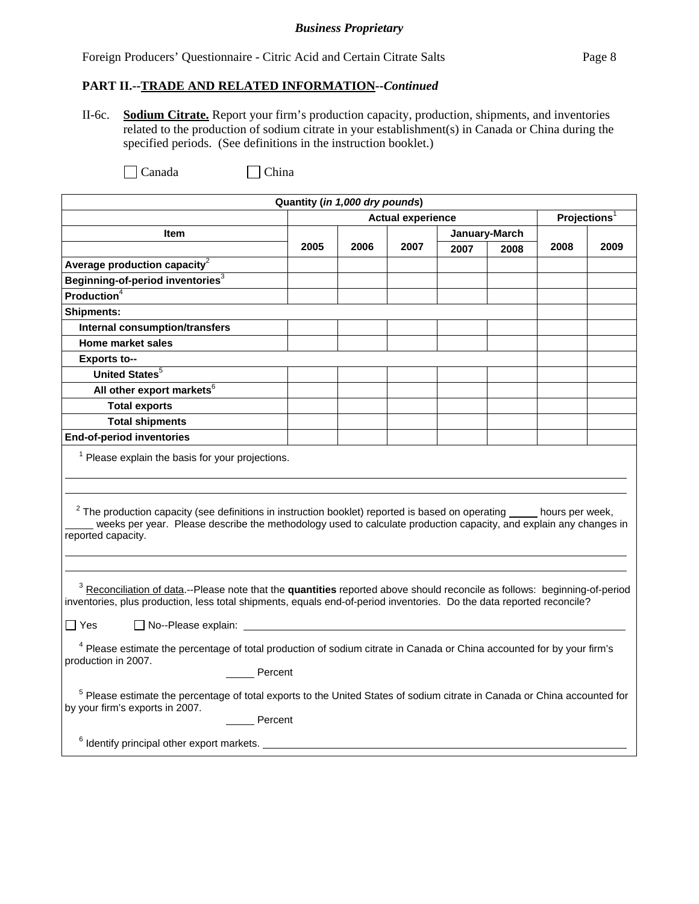Foreign Producers' Questionnaire - Citric Acid and Certain Citrate Salts Page 8

### **PART II.--TRADE AND RELATED INFORMATION***--Continued*

II-6c. **Sodium Citrate.** Report your firm's production capacity, production, shipments, and inventories related to the production of sodium citrate in your establishment(s) in Canada or China during the specified periods. (See definitions in the instruction booklet.)

| Quantity (in 1,000 dry pounds)                                                                                                                                                                                                                                                                             |      |      |                          |      |               |                          |      |
|------------------------------------------------------------------------------------------------------------------------------------------------------------------------------------------------------------------------------------------------------------------------------------------------------------|------|------|--------------------------|------|---------------|--------------------------|------|
|                                                                                                                                                                                                                                                                                                            |      |      | <b>Actual experience</b> |      |               | Projections <sup>1</sup> |      |
| <b>Item</b>                                                                                                                                                                                                                                                                                                |      |      |                          |      | January-March |                          |      |
|                                                                                                                                                                                                                                                                                                            | 2005 | 2006 | 2007                     | 2007 | 2008          | 2008                     | 2009 |
| Average production capacity $2$                                                                                                                                                                                                                                                                            |      |      |                          |      |               |                          |      |
| Beginning-of-period inventories <sup>3</sup>                                                                                                                                                                                                                                                               |      |      |                          |      |               |                          |      |
| <b>Production</b> <sup>4</sup>                                                                                                                                                                                                                                                                             |      |      |                          |      |               |                          |      |
| <b>Shipments:</b>                                                                                                                                                                                                                                                                                          |      |      |                          |      |               |                          |      |
| <b>Internal consumption/transfers</b>                                                                                                                                                                                                                                                                      |      |      |                          |      |               |                          |      |
| <b>Home market sales</b>                                                                                                                                                                                                                                                                                   |      |      |                          |      |               |                          |      |
| <b>Exports to--</b>                                                                                                                                                                                                                                                                                        |      |      |                          |      |               |                          |      |
| United States <sup>5</sup>                                                                                                                                                                                                                                                                                 |      |      |                          |      |               |                          |      |
| All other export markets <sup>6</sup>                                                                                                                                                                                                                                                                      |      |      |                          |      |               |                          |      |
| <b>Total exports</b>                                                                                                                                                                                                                                                                                       |      |      |                          |      |               |                          |      |
| <b>Total shipments</b>                                                                                                                                                                                                                                                                                     |      |      |                          |      |               |                          |      |
| <b>End-of-period inventories</b>                                                                                                                                                                                                                                                                           |      |      |                          |      |               |                          |      |
| $1$ Please explain the basis for your projections.                                                                                                                                                                                                                                                         |      |      |                          |      |               |                          |      |
| $2$ The production capacity (see definitions in instruction booklet) reported is based on operating $\_\_$ hours per week,<br>weeks per year. Please describe the methodology used to calculate production capacity, and explain any changes in<br>reported capacity.                                      |      |      |                          |      |               |                          |      |
| <sup>3</sup> Reconciliation of data.--Please note that the quantities reported above should reconcile as follows: beginning-of-period<br>inventories, plus production, less total shipments, equals end-of-period inventories. Do the data reported reconcile?<br>$\Box$ Yes<br>$\Box$ No--Please explain: |      |      |                          |      |               |                          |      |
|                                                                                                                                                                                                                                                                                                            |      |      |                          |      |               |                          |      |
| <sup>4</sup> Please estimate the percentage of total production of sodium citrate in Canada or China accounted for by your firm's<br>production in 2007.                                                                                                                                                   |      |      |                          |      |               |                          |      |
| Percent                                                                                                                                                                                                                                                                                                    |      |      |                          |      |               |                          |      |
| <sup>5</sup> Please estimate the percentage of total exports to the United States of sodium citrate in Canada or China accounted for<br>by your firm's exports in 2007.                                                                                                                                    |      |      |                          |      |               |                          |      |
| Percent                                                                                                                                                                                                                                                                                                    |      |      |                          |      |               |                          |      |
| $6$ Identify principal other export markets. $\_$                                                                                                                                                                                                                                                          |      |      |                          |      |               |                          |      |